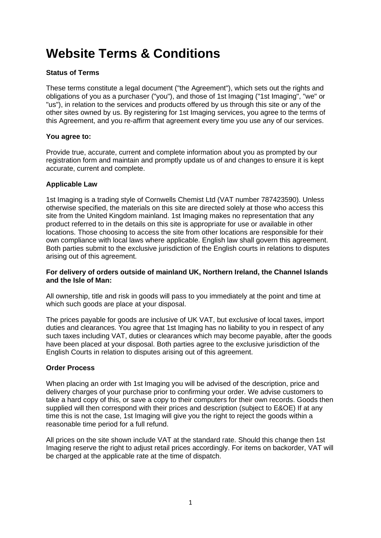# **Website Terms & Conditions**

# **Status of Terms**

These terms constitute a legal document ("the Agreement"), which sets out the rights and obligations of you as a purchaser ("you"), and those of 1st Imaging ("1st Imaging", "we" or "us"), in relation to the services and products offered by us through this site or any of the other sites owned by us. By registering for 1st Imaging services, you agree to the terms of this Agreement, and you re-affirm that agreement every time you use any of our services.

## **You agree to:**

Provide true, accurate, current and complete information about you as prompted by our registration form and maintain and promptly update us of and changes to ensure it is kept accurate, current and complete.

# **Applicable Law**

1st Imaging is a trading style of Cornwells Chemist Ltd (VAT number 787423590). Unless otherwise specified, the materials on this site are directed solely at those who access this site from the United Kingdom mainland. 1st Imaging makes no representation that any product referred to in the details on this site is appropriate for use or available in other locations. Those choosing to access the site from other locations are responsible for their own compliance with local laws where applicable. English law shall govern this agreement. Both parties submit to the exclusive jurisdiction of the English courts in relations to disputes arising out of this agreement.

## **For delivery of orders outside of mainland UK, Northern Ireland, the Channel Islands and the Isle of Man:**

All ownership, title and risk in goods will pass to you immediately at the point and time at which such goods are place at your disposal.

The prices payable for goods are inclusive of UK VAT, but exclusive of local taxes, import duties and clearances. You agree that 1st Imaging has no liability to you in respect of any such taxes including VAT, duties or clearances which may become payable, after the goods have been placed at your disposal. Both parties agree to the exclusive jurisdiction of the English Courts in relation to disputes arising out of this agreement.

## **Order Process**

When placing an order with 1st Imaging you will be advised of the description, price and delivery charges of your purchase prior to confirming your order. We advise customers to take a hard copy of this, or save a copy to their computers for their own records. Goods then supplied will then correspond with their prices and description (subject to E&OE) If at any time this is not the case, 1st Imaging will give you the right to reject the goods within a reasonable time period for a full refund.

All prices on the site shown include VAT at the standard rate. Should this change then 1st Imaging reserve the right to adjust retail prices accordingly. For items on backorder, VAT will be charged at the applicable rate at the time of dispatch.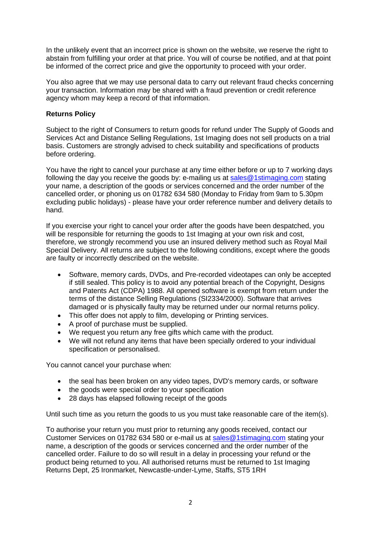In the unlikely event that an incorrect price is shown on the website, we reserve the right to abstain from fulfilling your order at that price. You will of course be notified, and at that point be informed of the correct price and give the opportunity to proceed with your order.

You also agree that we may use personal data to carry out relevant fraud checks concerning your transaction. Information may be shared with a fraud prevention or credit reference agency whom may keep a record of that information.

## **Returns Policy**

Subject to the right of Consumers to return goods for refund under The Supply of Goods and Services Act and Distance Selling Regulations, 1st Imaging does not sell products on a trial basis. Customers are strongly advised to check suitability and specifications of products before ordering.

You have the right to cancel your purchase at any time either before or up to 7 working days following the day you receive the goods by: e-mailing us at [sales@1stimaging.com](mailto:sales@1stimaging.com) stating your name, a description of the goods or services concerned and the order number of the cancelled order, or phoning us on 01782 634 580 (Monday to Friday from 9am to 5.30pm excluding public holidays) - please have your order reference number and delivery details to hand.

If you exercise your right to cancel your order after the goods have been despatched, you will be responsible for returning the goods to 1st Imaging at your own risk and cost, therefore, we strongly recommend you use an insured delivery method such as Royal Mail Special Delivery. All returns are subject to the following conditions, except where the goods are faulty or incorrectly described on the website.

- Software, memory cards, DVDs, and Pre-recorded videotapes can only be accepted if still sealed. This policy is to avoid any potential breach of the Copyright, Designs and Patents Act (CDPA) 1988. All opened software is exempt from return under the terms of the distance Selling Regulations (SI2334/2000). Software that arrives damaged or is physically faulty may be returned under our normal returns policy.
- This offer does not apply to film, developing or Printing services.
- A proof of purchase must be supplied.
- We request you return any free gifts which came with the product.
- We will not refund any items that have been specially ordered to your individual specification or personalised.

You cannot cancel your purchase when:

- the seal has been broken on any video tapes, DVD's memory cards, or software
- the goods were special order to your specification
- 28 days has elapsed following receipt of the goods

Until such time as you return the goods to us you must take reasonable care of the item(s).

To authorise your return you must prior to returning any goods received, contact our Customer Services on 01782 634 580 or e-mail us at [sales@1stimaging.com](mailto:sales@1stimaging.com) stating your name, a description of the goods or services concerned and the order number of the cancelled order. Failure to do so will result in a delay in processing your refund or the product being returned to you. All authorised returns must be returned to 1st Imaging Returns Dept, 25 Ironmarket, Newcastle-under-Lyme, Staffs, ST5 1RH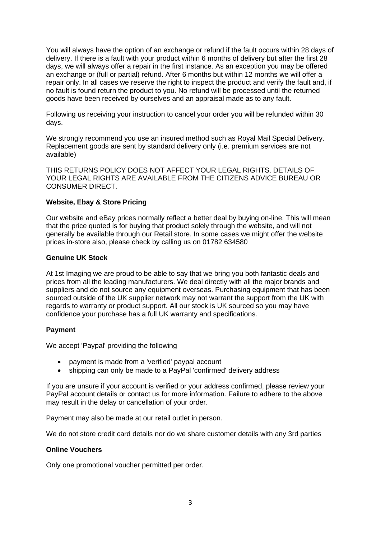You will always have the option of an exchange or refund if the fault occurs within 28 days of delivery. If there is a fault with your product within 6 months of delivery but after the first 28 days, we will always offer a repair in the first instance. As an exception you may be offered an exchange or (full or partial) refund. After 6 months but within 12 months we will offer a repair only. In all cases we reserve the right to inspect the product and verify the fault and, if no fault is found return the product to you. No refund will be processed until the returned goods have been received by ourselves and an appraisal made as to any fault.

Following us receiving your instruction to cancel your order you will be refunded within 30 days.

We strongly recommend you use an insured method such as Royal Mail Special Delivery. Replacement goods are sent by standard delivery only (i.e. premium services are not available)

THIS RETURNS POLICY DOES NOT AFFECT YOUR LEGAL RIGHTS. DETAILS OF YOUR LEGAL RIGHTS ARE AVAILABLE FROM THE CITIZENS ADVICE BUREAU OR CONSUMER DIRECT.

## **Website, Ebay & Store Pricing**

Our website and eBay prices normally reflect a better deal by buying on-line. This will mean that the price quoted is for buying that product solely through the website, and will not generally be available through our Retail store. In some cases we might offer the website prices in-store also, please check by calling us on 01782 634580

#### **Genuine UK Stock**

At 1st Imaging we are proud to be able to say that we bring you both fantastic deals and prices from all the leading manufacturers. We deal directly with all the major brands and suppliers and do not source any equipment overseas. Purchasing equipment that has been sourced outside of the UK supplier network may not warrant the support from the UK with regards to warranty or product support. All our stock is UK sourced so you may have confidence your purchase has a full UK warranty and specifications.

## **Payment**

We accept 'Paypal' providing the following

- payment is made from a 'verified' paypal account
- shipping can only be made to a PayPal 'confirmed' delivery address

If you are unsure if your account is verified or your address confirmed, please review your PayPal account details or contact us for more information. Failure to adhere to the above may result in the delay or cancellation of your order.

Payment may also be made at our retail outlet in person.

We do not store credit card details nor do we share customer details with any 3rd parties

#### **Online Vouchers**

Only one promotional voucher permitted per order.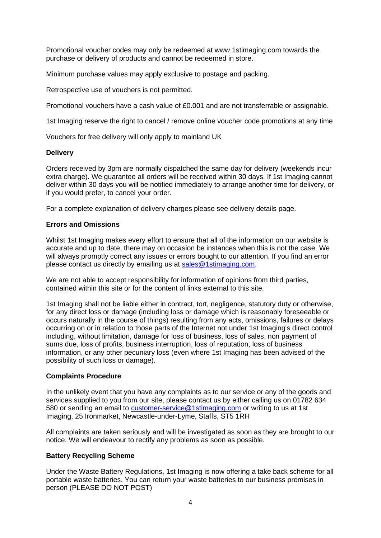Promotional voucher codes may only be redeemed at www.1stimaging.com towards the purchase or delivery of products and cannot be redeemed in store.

Minimum purchase values may apply exclusive to postage and packing.

Retrospective use of vouchers is not permitted.

Promotional vouchers have a cash value of £0.001 and are not transferrable or assignable.

1st Imaging reserve the right to cancel / remove online voucher code promotions at any time

Vouchers for free delivery will only apply to mainland UK

## **Delivery**

Orders received by 3pm are normally dispatched the same day for delivery (weekends incur extra charge). We guarantee all orders will be received within 30 days. If 1st Imaging cannot deliver within 30 days you will be notified immediately to arrange another time for delivery, or if you would prefer, to cancel your order.

For a complete explanation of delivery charges please see delivery details page.

## **Errors and Omissions**

Whilst 1st Imaging makes every effort to ensure that all of the information on our website is accurate and up to date, there may on occasion be instances when this is not the case. We will always promptly correct any issues or errors bought to our attention. If you find an error please contact us directly by emailing us at [sales@1stimaging.com.](mailto:sales@1stimaging.com)

We are not able to accept responsibility for information of opinions from third parties, contained within this site or for the content of links external to this site.

1st Imaging shall not be liable either in contract, tort, negligence, statutory duty or otherwise, for any direct loss or damage (including loss or damage which is reasonably foreseeable or occurs naturally in the course of things) resulting from any acts, omissions, failures or delays occurring on or in relation to those parts of the Internet not under 1st Imaging's direct control including, without limitation, damage for loss of business, loss of sales, non payment of sums due, loss of profits, business interruption, loss of reputation, loss of business information, or any other pecuniary loss (even where 1st Imaging has been advised of the possibility of such loss or damage).

## **Complaints Procedure**

In the unlikely event that you have any complaints as to our service or any of the goods and services supplied to you from our site, please contact us by either calling us on 01782 634 580 or sending an email to [customer-service@1stimaging.com](mailto:customer-service@1stimaging.com) or writing to us at 1st Imaging, 25 Ironmarket, Newcastle-under-Lyme, Staffs, ST5 1RH

All complaints are taken seriously and will be investigated as soon as they are brought to our notice. We will endeavour to rectify any problems as soon as possible.

## **Battery Recycling Scheme**

Under the Waste Battery Regulations, 1st Imaging is now offering a take back scheme for all portable waste batteries. You can return your waste batteries to our business premises in person (PLEASE DO NOT POST)